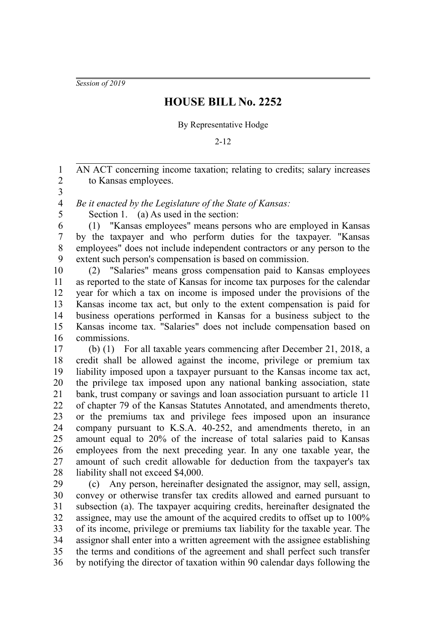*Session of 2019*

## **HOUSE BILL No. 2252**

## By Representative Hodge

2-12

AN ACT concerning income taxation; relating to credits; salary increases to Kansas employees. 1 2

3

*Be it enacted by the Legislature of the State of Kansas:* 4

5

Section 1. (a) As used in the section:

(1) "Kansas employees" means persons who are employed in Kansas by the taxpayer and who perform duties for the taxpayer. "Kansas employees" does not include independent contractors or any person to the extent such person's compensation is based on commission. 6 7 8 9

(2) "Salaries" means gross compensation paid to Kansas employees as reported to the state of Kansas for income tax purposes for the calendar year for which a tax on income is imposed under the provisions of the Kansas income tax act, but only to the extent compensation is paid for business operations performed in Kansas for a business subject to the Kansas income tax. "Salaries" does not include compensation based on commissions. 10 11 12 13 14 15 16

(b) (1) For all taxable years commencing after December 21, 2018, a credit shall be allowed against the income, privilege or premium tax liability imposed upon a taxpayer pursuant to the Kansas income tax act, the privilege tax imposed upon any national banking association, state bank, trust company or savings and loan association pursuant to article 11 of chapter 79 of the Kansas Statutes Annotated, and amendments thereto, or the premiums tax and privilege fees imposed upon an insurance company pursuant to K.S.A. 40-252, and amendments thereto, in an amount equal to 20% of the increase of total salaries paid to Kansas employees from the next preceding year. In any one taxable year, the amount of such credit allowable for deduction from the taxpayer's tax liability shall not exceed \$4,000. 17 18 19 20 21 22 23 24 25 26 27 28

(c) Any person, hereinafter designated the assignor, may sell, assign, convey or otherwise transfer tax credits allowed and earned pursuant to subsection (a). The taxpayer acquiring credits, hereinafter designated the assignee, may use the amount of the acquired credits to offset up to 100% of its income, privilege or premiums tax liability for the taxable year. The assignor shall enter into a written agreement with the assignee establishing the terms and conditions of the agreement and shall perfect such transfer by notifying the director of taxation within 90 calendar days following the 29 30 31 32 33 34 35 36